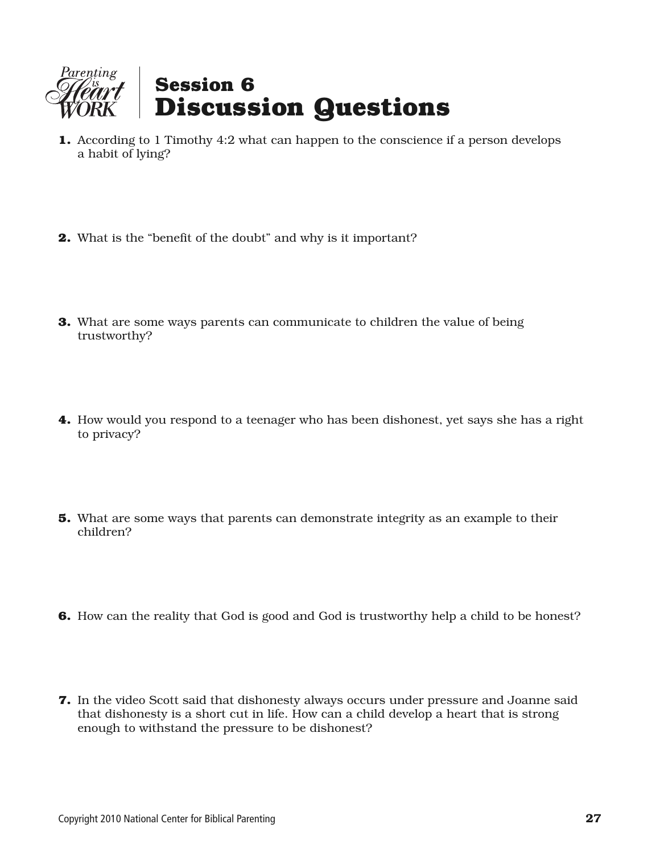

- **1.** According to 1 Timothy 4:2 what can happen to the conscience if a person develops a habit of lying?
- **2.** What is the "benefit of the doubt" and why is it important?
- **3.** What are some ways parents can communicate to children the value of being trustworthy?
- **4.** How would you respond to a teenager who has been dishonest, yet says she has a right to privacy?
- **5.** What are some ways that parents can demonstrate integrity as an example to their children?
- **6.** How can the reality that God is good and God is trustworthy help a child to be honest?
- **7.** In the video Scott said that dishonesty always occurs under pressure and Joanne said that dishonesty is a short cut in life. How can a child develop a heart that is strong enough to withstand the pressure to be dishonest?